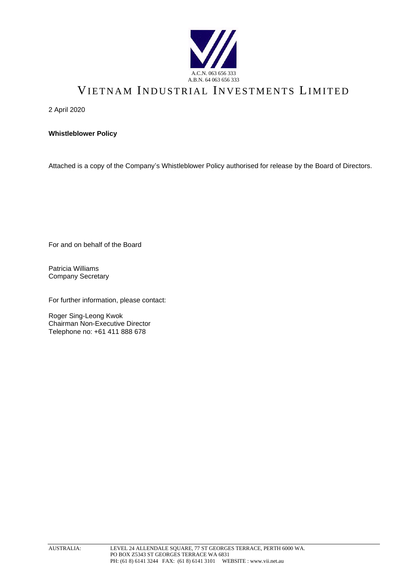

# VIETNAM INDUSTRIAL INVESTMENTS LIMITED

2 April 2020

**Whistleblower Policy**

Attached is a copy of the Company's Whistleblower Policy authorised for release by the Board of Directors.

For and on behalf of the Board

Patricia Williams Company Secretary

For further information, please contact:

Roger Sing-Leong Kwok Chairman Non-Executive Director Telephone no: +61 411 888 678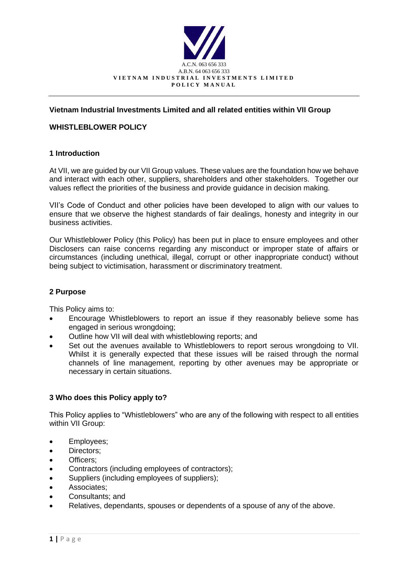

## **Vietnam Industrial Investments Limited and all related entities within VII Group**

#### **WHISTLEBLOWER POLICY**

#### **1 Introduction**

At VII, we are guided by our VII Group values. These values are the foundation how we behave and interact with each other, suppliers, shareholders and other stakeholders. Together our values reflect the priorities of the business and provide guidance in decision making.

VII's Code of Conduct and other policies have been developed to align with our values to ensure that we observe the highest standards of fair dealings, honesty and integrity in our business activities.

Our Whistleblower Policy (this Policy) has been put in place to ensure employees and other Disclosers can raise concerns regarding any misconduct or improper state of affairs or circumstances (including unethical, illegal, corrupt or other inappropriate conduct) without being subject to victimisation, harassment or discriminatory treatment.

#### **2 Purpose**

This Policy aims to:

- Encourage Whistleblowers to report an issue if they reasonably believe some has engaged in serious wrongdoing;
- Outline how VII will deal with whistleblowing reports; and
- Set out the avenues available to Whistleblowers to report serous wrongdoing to VII. Whilst it is generally expected that these issues will be raised through the normal channels of line management, reporting by other avenues may be appropriate or necessary in certain situations.

#### **3 Who does this Policy apply to?**

This Policy applies to "Whistleblowers" who are any of the following with respect to all entities within VII Group:

- Employees;
- Directors:
- Officers;
- Contractors (including employees of contractors);
- Suppliers (including employees of suppliers);
- Associates;
- Consultants; and
- Relatives, dependants, spouses or dependents of a spouse of any of the above.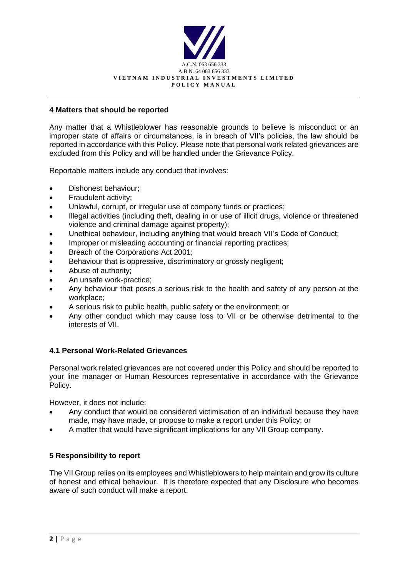

#### **4 Matters that should be reported**

Any matter that a Whistleblower has reasonable grounds to believe is misconduct or an improper state of affairs or circumstances, is in breach of VII's policies, the law should be reported in accordance with this Policy. Please note that personal work related grievances are excluded from this Policy and will be handled under the Grievance Policy.

Reportable matters include any conduct that involves:

- Dishonest behaviour;
- Fraudulent activity;
- Unlawful, corrupt, or irregular use of company funds or practices;
- Illegal activities (including theft, dealing in or use of illicit drugs, violence or threatened violence and criminal damage against property);
- Unethical behaviour, including anything that would breach VII's Code of Conduct;
- Improper or misleading accounting or financial reporting practices;
- Breach of the Corporations Act 2001;
- Behaviour that is oppressive, discriminatory or grossly negligent;
- Abuse of authority;
- An unsafe work-practice;
- Any behaviour that poses a serious risk to the health and safety of any person at the workplace;
- A serious risk to public health, public safety or the environment; or
- Any other conduct which may cause loss to VII or be otherwise detrimental to the interests of VII.

#### **4.1 Personal Work-Related Grievances**

Personal work related grievances are not covered under this Policy and should be reported to your line manager or Human Resources representative in accordance with the Grievance Policy.

However, it does not include:

- Any conduct that would be considered victimisation of an individual because they have made, may have made, or propose to make a report under this Policy; or
- A matter that would have significant implications for any VII Group company.

#### **5 Responsibility to report**

The VII Group relies on its employees and Whistleblowers to help maintain and grow its culture of honest and ethical behaviour. It is therefore expected that any Disclosure who becomes aware of such conduct will make a report.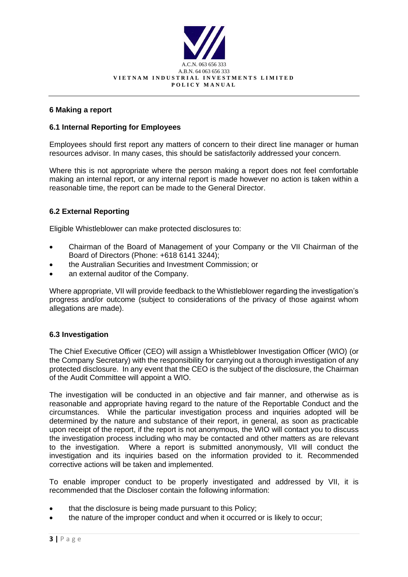

## **6 Making a report**

## **6.1 Internal Reporting for Employees**

Employees should first report any matters of concern to their direct line manager or human resources advisor. In many cases, this should be satisfactorily addressed your concern.

Where this is not appropriate where the person making a report does not feel comfortable making an internal report, or any internal report is made however no action is taken within a reasonable time, the report can be made to the General Director.

#### **6.2 External Reporting**

Eligible Whistleblower can make protected disclosures to:

- Chairman of the Board of Management of your Company or the VII Chairman of the Board of Directors (Phone: +618 6141 3244);
- the Australian Securities and Investment Commission; or
- an external auditor of the Company.

Where appropriate, VII will provide feedback to the Whistleblower regarding the investigation's progress and/or outcome (subject to considerations of the privacy of those against whom allegations are made).

#### **6.3 Investigation**

The Chief Executive Officer (CEO) will assign a Whistleblower Investigation Officer (WIO) (or the Company Secretary) with the responsibility for carrying out a thorough investigation of any protected disclosure. In any event that the CEO is the subject of the disclosure, the Chairman of the Audit Committee will appoint a WIO.

The investigation will be conducted in an objective and fair manner, and otherwise as is reasonable and appropriate having regard to the nature of the Reportable Conduct and the circumstances. While the particular investigation process and inquiries adopted will be determined by the nature and substance of their report, in general, as soon as practicable upon receipt of the report, if the report is not anonymous, the WIO will contact you to discuss the investigation process including who may be contacted and other matters as are relevant to the investigation. Where a report is submitted anonymously, VII will conduct the investigation and its inquiries based on the information provided to it. Recommended corrective actions will be taken and implemented.

To enable improper conduct to be properly investigated and addressed by VII, it is recommended that the Discloser contain the following information:

- that the disclosure is being made pursuant to this Policy;
- the nature of the improper conduct and when it occurred or is likely to occur;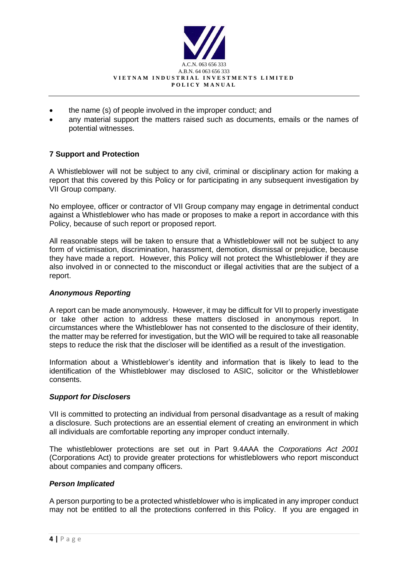

- the name (s) of people involved in the improper conduct; and
- any material support the matters raised such as documents, emails or the names of potential witnesses.

# **7 Support and Protection**

A Whistleblower will not be subject to any civil, criminal or disciplinary action for making a report that this covered by this Policy or for participating in any subsequent investigation by VII Group company.

No employee, officer or contractor of VII Group company may engage in detrimental conduct against a Whistleblower who has made or proposes to make a report in accordance with this Policy, because of such report or proposed report.

All reasonable steps will be taken to ensure that a Whistleblower will not be subject to any form of victimisation, discrimination, harassment, demotion, dismissal or prejudice, because they have made a report. However, this Policy will not protect the Whistleblower if they are also involved in or connected to the misconduct or illegal activities that are the subject of a report.

## *Anonymous Reporting*

A report can be made anonymously. However, it may be difficult for VII to properly investigate or take other action to address these matters disclosed in anonymous report. In circumstances where the Whistleblower has not consented to the disclosure of their identity, the matter may be referred for investigation, but the WIO will be required to take all reasonable steps to reduce the risk that the discloser will be identified as a result of the investigation.

Information about a Whistleblower's identity and information that is likely to lead to the identification of the Whistleblower may disclosed to ASIC, solicitor or the Whistleblower consents.

#### *Support for Disclosers*

VII is committed to protecting an individual from personal disadvantage as a result of making a disclosure. Such protections are an essential element of creating an environment in which all individuals are comfortable reporting any improper conduct internally.

The whistleblower protections are set out in Part 9.4AAA the *Corporations Act 2001* (Corporations Act) to provide greater protections for whistleblowers who report misconduct about companies and company officers.

#### *Person Implicated*

A person purporting to be a protected whistleblower who is implicated in any improper conduct may not be entitled to all the protections conferred in this Policy. If you are engaged in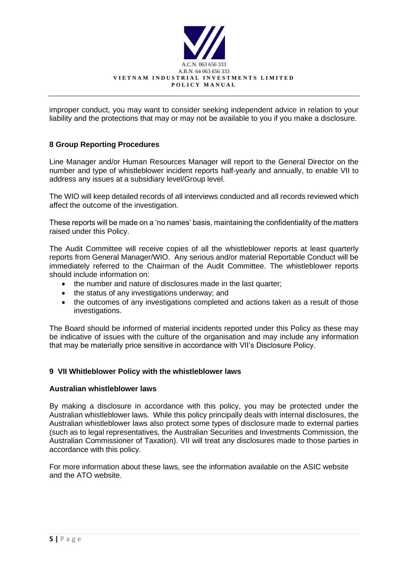

improper conduct, you may want to consider seeking independent advice in relation to your liability and the protections that may or may not be available to you if you make a disclosure.

## **8 Group Reporting Procedures**

Line Manager and/or Human Resources Manager will report to the General Director on the number and type of whistleblower incident reports half-yearly and annually, to enable VII to address any issues at a subsidiary level/Group level.

The WIO will keep detailed records of all interviews conducted and all records reviewed which affect the outcome of the investigation.

These reports will be made on a 'no names' basis, maintaining the confidentiality of the matters raised under this Policy.

The Audit Committee will receive copies of all the whistleblower reports at least quarterly reports from General Manager/WIO. Any serious and/or material Reportable Conduct will be immediately referred to the Chairman of the Audit Committee. The whistleblower reports should include information on:

- the number and nature of disclosures made in the last quarter;
- the status of any investigations underway; and
- the outcomes of any investigations completed and actions taken as a result of those investigations.

The Board should be informed of material incidents reported under this Policy as these may be indicative of issues with the culture of the organisation and may include any information that may be materially price sensitive in accordance with VII's Disclosure Policy.

#### **9 VII Whitleblower Policy with the whistleblower laws**

#### **Australian whistleblower laws**

By making a disclosure in accordance with this policy, you may be protected under the Australian whistleblower laws. While this policy principally deals with internal disclosures, the Australian whistleblower laws also protect some types of disclosure made to external parties (such as to legal representatives, the Australian Securities and Investments Commission, the Australian Commissioner of Taxation). VII will treat any disclosures made to those parties in accordance with this policy.

For more information about these laws, see the information available on the ASIC website and the ATO website.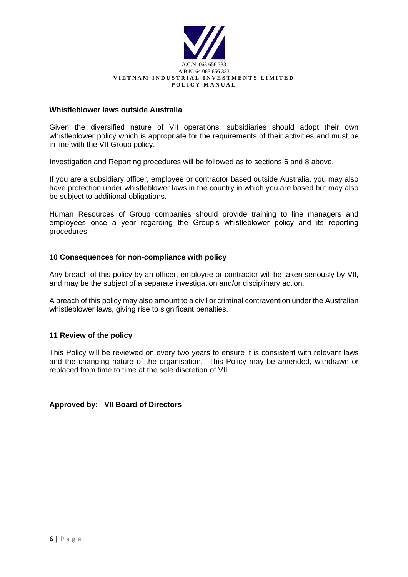

#### **Whistleblower laws outside Australia**

Given the diversified nature of VII operations, subsidiaries should adopt their own whistleblower policy which is appropriate for the requirements of their activities and must be in line with the VII Group policy.

Investigation and Reporting procedures will be followed as to sections 6 and 8 above.

If you are a subsidiary officer, employee or contractor based outside Australia, you may also have protection under whistleblower laws in the country in which you are based but may also be subject to additional obligations.

Human Resources of Group companies should provide training to line managers and employees once a year regarding the Group's whistleblower policy and its reporting procedures.

#### **10 Consequences for non-compliance with policy**

Any breach of this policy by an officer, employee or contractor will be taken seriously by VII, and may be the subject of a separate investigation and/or disciplinary action.

A breach of this policy may also amount to a civil or criminal contravention under the Australian whistleblower laws, giving rise to significant penalties.

#### **11 Review of the policy**

This Policy will be reviewed on every two years to ensure it is consistent with relevant laws and the changing nature of the organisation. This Policy may be amended, withdrawn or replaced from time to time at the sole discretion of VII.

#### **Approved by: VII Board of Directors**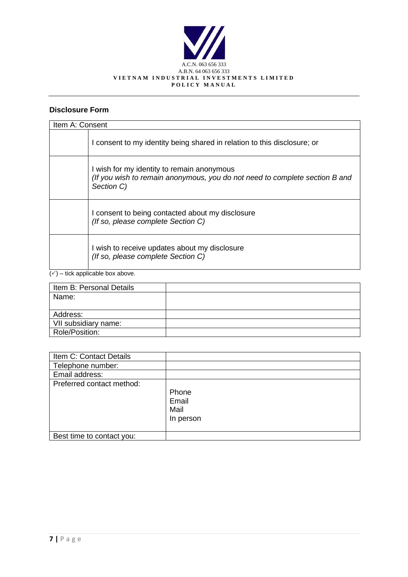

# **Disclosure Form**

| Item A: Consent |                                                                                                                                         |  |  |
|-----------------|-----------------------------------------------------------------------------------------------------------------------------------------|--|--|
|                 | I consent to my identity being shared in relation to this disclosure; or                                                                |  |  |
|                 | I wish for my identity to remain anonymous<br>(If you wish to remain anonymous, you do not need to complete section B and<br>Section C) |  |  |
|                 | I consent to being contacted about my disclosure<br>(If so, please complete Section C)                                                  |  |  |
|                 | I wish to receive updates about my disclosure<br>(If so, please complete Section C)                                                     |  |  |

 $\overline{(\checkmark)}$  – tick applicable box above.

| Item B: Personal Details |  |
|--------------------------|--|
| Name:                    |  |
|                          |  |
| Address:                 |  |
| VII subsidiary name:     |  |
| Role/Position:           |  |

| Item C: Contact Details   |                                     |
|---------------------------|-------------------------------------|
| Telephone number:         |                                     |
| Email address:            |                                     |
| Preferred contact method: | Phone<br>Email<br>Mail<br>In person |
| Best time to contact you: |                                     |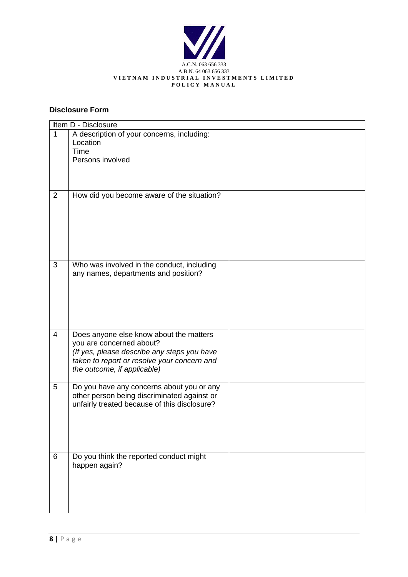

# **Disclosure Form**

|                | Item D - Disclosure                          |  |  |  |  |
|----------------|----------------------------------------------|--|--|--|--|
| $\overline{1}$ | A description of your concerns, including:   |  |  |  |  |
|                | Location                                     |  |  |  |  |
|                | <b>Time</b>                                  |  |  |  |  |
|                | Persons involved                             |  |  |  |  |
|                |                                              |  |  |  |  |
|                |                                              |  |  |  |  |
| 2              | How did you become aware of the situation?   |  |  |  |  |
|                |                                              |  |  |  |  |
|                |                                              |  |  |  |  |
|                |                                              |  |  |  |  |
|                |                                              |  |  |  |  |
|                |                                              |  |  |  |  |
|                |                                              |  |  |  |  |
|                |                                              |  |  |  |  |
| 3              | Who was involved in the conduct, including   |  |  |  |  |
|                | any names, departments and position?         |  |  |  |  |
|                |                                              |  |  |  |  |
|                |                                              |  |  |  |  |
|                |                                              |  |  |  |  |
|                |                                              |  |  |  |  |
|                |                                              |  |  |  |  |
| $\overline{4}$ | Does anyone else know about the matters      |  |  |  |  |
|                | you are concerned about?                     |  |  |  |  |
|                | (If yes, please describe any steps you have  |  |  |  |  |
|                | taken to report or resolve your concern and  |  |  |  |  |
|                | the outcome, if applicable)                  |  |  |  |  |
|                |                                              |  |  |  |  |
| 5              | Do you have any concerns about you or any    |  |  |  |  |
|                | other person being discriminated against or  |  |  |  |  |
|                | unfairly treated because of this disclosure? |  |  |  |  |
|                |                                              |  |  |  |  |
|                |                                              |  |  |  |  |
|                |                                              |  |  |  |  |
|                |                                              |  |  |  |  |
| 6              | Do you think the reported conduct might      |  |  |  |  |
|                | happen again?                                |  |  |  |  |
|                |                                              |  |  |  |  |
|                |                                              |  |  |  |  |
|                |                                              |  |  |  |  |
|                |                                              |  |  |  |  |
|                |                                              |  |  |  |  |